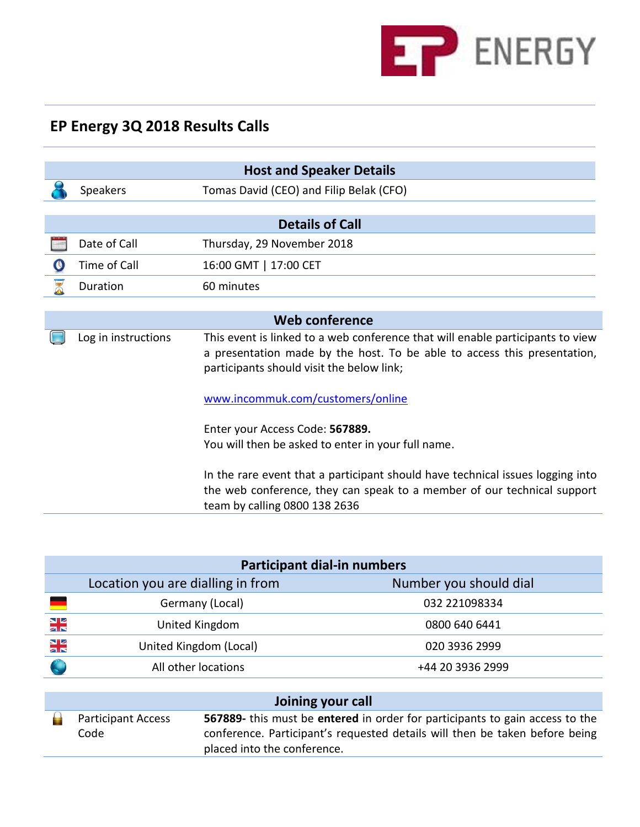

## **EP Energy 3Q 2018 Results Calls**

|                     | <b>Host and Speaker Details</b> |                                                                                                                                                                                                         |  |  |  |  |  |  |  |
|---------------------|---------------------------------|---------------------------------------------------------------------------------------------------------------------------------------------------------------------------------------------------------|--|--|--|--|--|--|--|
|                     | <b>Speakers</b>                 | Tomas David (CEO) and Filip Belak (CFO)                                                                                                                                                                 |  |  |  |  |  |  |  |
|                     |                                 |                                                                                                                                                                                                         |  |  |  |  |  |  |  |
|                     | <b>Details of Call</b>          |                                                                                                                                                                                                         |  |  |  |  |  |  |  |
|                     | Date of Call                    | Thursday, 29 November 2018                                                                                                                                                                              |  |  |  |  |  |  |  |
|                     | Time of Call                    | 16:00 GMT   17:00 CET                                                                                                                                                                                   |  |  |  |  |  |  |  |
|                     | Duration                        | 60 minutes                                                                                                                                                                                              |  |  |  |  |  |  |  |
|                     |                                 |                                                                                                                                                                                                         |  |  |  |  |  |  |  |
|                     | <b>Web conference</b>           |                                                                                                                                                                                                         |  |  |  |  |  |  |  |
| Log in instructions |                                 | This event is linked to a web conference that will enable participants to view<br>a presentation made by the host. To be able to access this presentation,<br>participants should visit the below link; |  |  |  |  |  |  |  |
|                     |                                 | www.incommuk.com/customers/online                                                                                                                                                                       |  |  |  |  |  |  |  |
|                     |                                 | Enter your Access Code: 567889.                                                                                                                                                                         |  |  |  |  |  |  |  |
|                     |                                 | You will then be asked to enter in your full name.                                                                                                                                                      |  |  |  |  |  |  |  |
|                     |                                 | In the rare event that a participant should have technical issues logging into<br>the web conference, they can speak to a member of our technical support<br>team by calling 0800 138 2636              |  |  |  |  |  |  |  |

| <b>Participant dial-in numbers</b> |                                   |                        |  |  |  |  |  |
|------------------------------------|-----------------------------------|------------------------|--|--|--|--|--|
|                                    | Location you are dialling in from | Number you should dial |  |  |  |  |  |
|                                    | Germany (Local)                   | 032 221098334          |  |  |  |  |  |
| NE<br>25                           | United Kingdom                    | 0800 640 6441          |  |  |  |  |  |
| NE<br>25                           | United Kingdom (Local)            | 020 3936 2999          |  |  |  |  |  |
|                                    | All other locations               | +44 20 3936 2999       |  |  |  |  |  |
|                                    |                                   |                        |  |  |  |  |  |
| Inining vour call                  |                                   |                        |  |  |  |  |  |

|                           | Joining your call |                                                                              |  |  |  |  |  |  |
|---------------------------|-------------------|------------------------------------------------------------------------------|--|--|--|--|--|--|
| <b>Participant Access</b> |                   | 567889- this must be entered in order for participants to gain access to the |  |  |  |  |  |  |
|                           | Code              | conference. Participant's requested details will then be taken before being  |  |  |  |  |  |  |
|                           |                   | placed into the conference.                                                  |  |  |  |  |  |  |